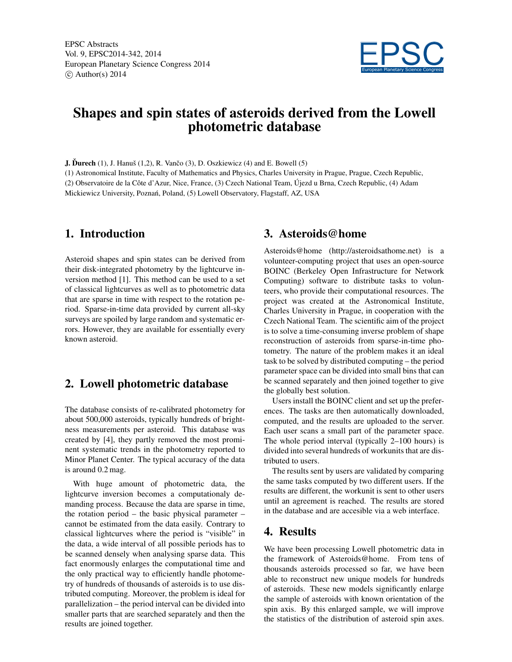EPSC Abstracts Vol. 9, EPSC2014-342, 2014 European Planetary Science Congress 2014  $\circ$  Author(s) 2014



# Shapes and spin states of asteroids derived from the Lowell photometric database

**J. Durech**  $(1)$ , J. Hanuš  $(1,2)$ , R. Vančo  $(3)$ , D. Oszkiewicz  $(4)$  and E. Bowell  $(5)$ 

(1) Astronomical Institute, Faculty of Mathematics and Physics, Charles University in Prague, Prague, Czech Republic, (2) Observatoire de la Côte d'Azur, Nice, France, (3) Czech National Team, Újezd u Brna, Czech Republic, (4) Adam Mickiewicz University, Poznań, Poland, (5) Lowell Observatory, Flagstaff, AZ, USA

# 1. Introduction

Asteroid shapes and spin states can be derived from their disk-integrated photometry by the lightcurve inversion method [1]. This method can be used to a set of classical lightcurves as well as to photometric data that are sparse in time with respect to the rotation period. Sparse-in-time data provided by current all-sky surveys are spoiled by large random and systematic errors. However, they are available for essentially every known asteroid.

# 2. Lowell photometric database

The database consists of re-calibrated photometry for about 500,000 asteroids, typically hundreds of brightness measurements per asteroid. This database was created by [4], they partly removed the most prominent systematic trends in the photometry reported to Minor Planet Center. The typical accuracy of the data is around 0.2 mag.

With huge amount of photometric data, the lightcurve inversion becomes a computationaly demanding process. Because the data are sparse in time, the rotation period – the basic physical parameter – cannot be estimated from the data easily. Contrary to classical lightcurves where the period is "visible" in the data, a wide interval of all possible periods has to be scanned densely when analysing sparse data. This fact enormously enlarges the computational time and the only practical way to efficiently handle photometry of hundreds of thousands of asteroids is to use distributed computing. Moreover, the problem is ideal for parallelization – the period interval can be divided into smaller parts that are searched separately and then the results are joined together.

# 3. Asteroids@home

Asteroids@home (http://asteroidsathome.net) is a volunteer-computing project that uses an open-source BOINC (Berkeley Open Infrastructure for Network Computing) software to distribute tasks to volunteers, who provide their computational resources. The project was created at the Astronomical Institute, Charles University in Prague, in cooperation with the Czech National Team. The scientific aim of the project is to solve a time-consuming inverse problem of shape reconstruction of asteroids from sparse-in-time photometry. The nature of the problem makes it an ideal task to be solved by distributed computing – the period parameter space can be divided into small bins that can be scanned separately and then joined together to give the globally best solution.

Users install the BOINC client and set up the preferences. The tasks are then automatically downloaded, computed, and the results are uploaded to the server. Each user scans a small part of the parameter space. The whole period interval (typically 2–100 hours) is divided into several hundreds of workunits that are distributed to users.

The results sent by users are validated by comparing the same tasks computed by two different users. If the results are different, the workunit is sent to other users until an agreement is reached. The results are stored in the database and are accesible via a web interface.

# 4. Results

We have been processing Lowell photometric data in the framework of Asteroids@home. From tens of thousands asteroids processed so far, we have been able to reconstruct new unique models for hundreds of asteroids. These new models significantly enlarge the sample of asteroids with known orientation of the spin axis. By this enlarged sample, we will improve the statistics of the distribution of asteroid spin axes.